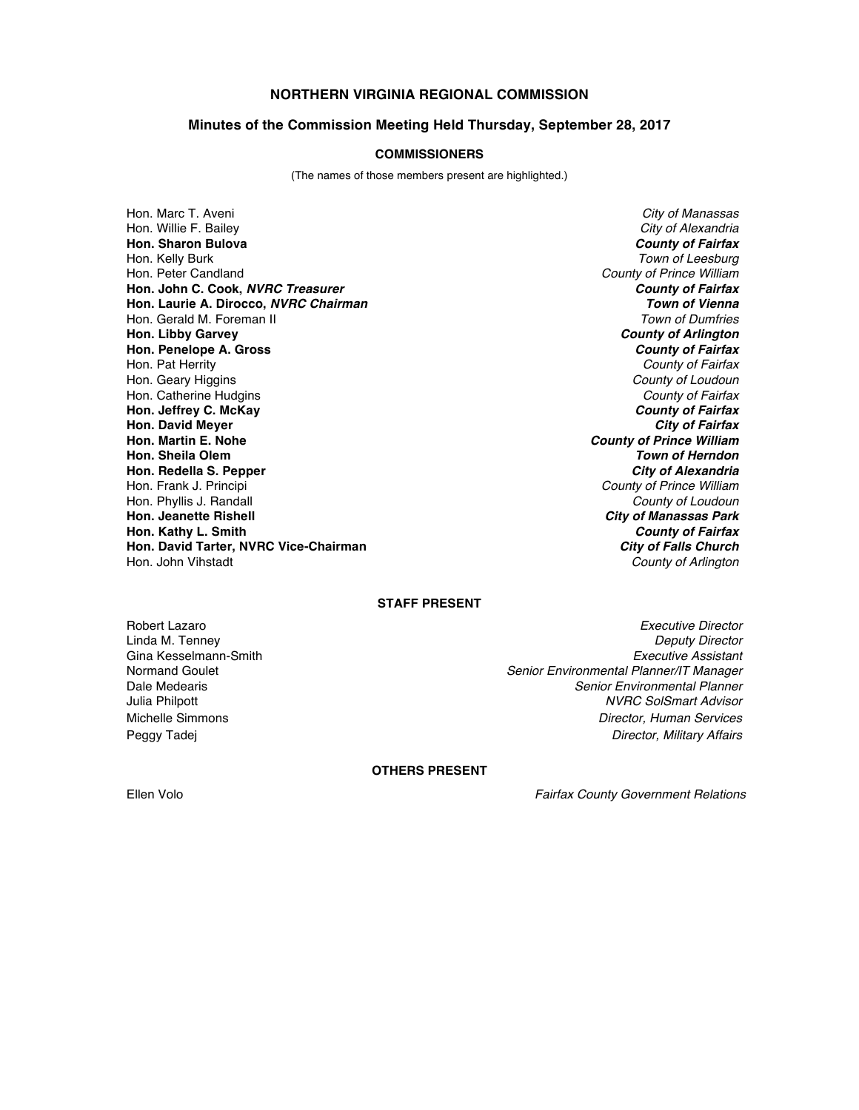# **NORTHERN VIRGINIA REGIONAL COMMISSION**

#### **Minutes of the Commission Meeting Held Thursday, September 28, 2017**

## **COMMISSIONERS**

(The names of those members present are highlighted.)

Hon. Marc T. Aveni *City of Manassas* Hon. Willie F. Bailey *City of Alexandria* **Hon. Sharon Bulova** *County of Fairfax* Hon. Kelly Burk *Town of Leesburg* Hon. Peter Candland *County of Prince William* **Hon. John C. Cook,** *NVRC Treasurer County of Fairfax* **Hon. Laurie A. Dirocco,** *NVRC Chairman Town of Vienna* Hon. Gerald M. Foreman II **Hon. Libby Garvey** *County of Arlington* **Hon. Penelope A. Gross** *County of Fairfax* Hon. Pat Herrity *County of Fairfax* Hon. Geary Higgins *County of Loudoun* Hon. Catherine Hudgins *County of Fairfax* **Hon. Jeffrey C. McKay** *County of Fairfax* **Hon. David Meyer** *City of Fairfax* **Hon. Martin E. Nohe** *County of Prince William* **Hon. Sheila Olem** *Town of Herndon* **Hon. Redella S. Pepper** Hon. Frank J. Principi *County of Prince William* Hon. Phyllis J. Randall *County of Loudoun* **Hon. Kathy L. Smith** *County of Fairfax* **Hon. David Tarter, NVRC Vice-Chairman** *City of Falls Church* Hon. John Vihstadt *County of Arlington*

**City of Manassas Park** 

## **STAFF PRESENT**

Robert Lazaro *Executive Director* Linda M. Tenney *Deputy Director* Gina Kesselmann-Smith *Executive Assistant* Normand Goulet *Senior Environmental Planner/IT Manager* Dale Medearis *Senior Environmental Planner* Julia Philpott *NVRC SolSmart Advisor* Michelle Simmons *Director, Human Services* Peggy Tadej *Director, Military Affairs*

## **OTHERS PRESENT**

Ellen Volo *Fairfax County Government Relations*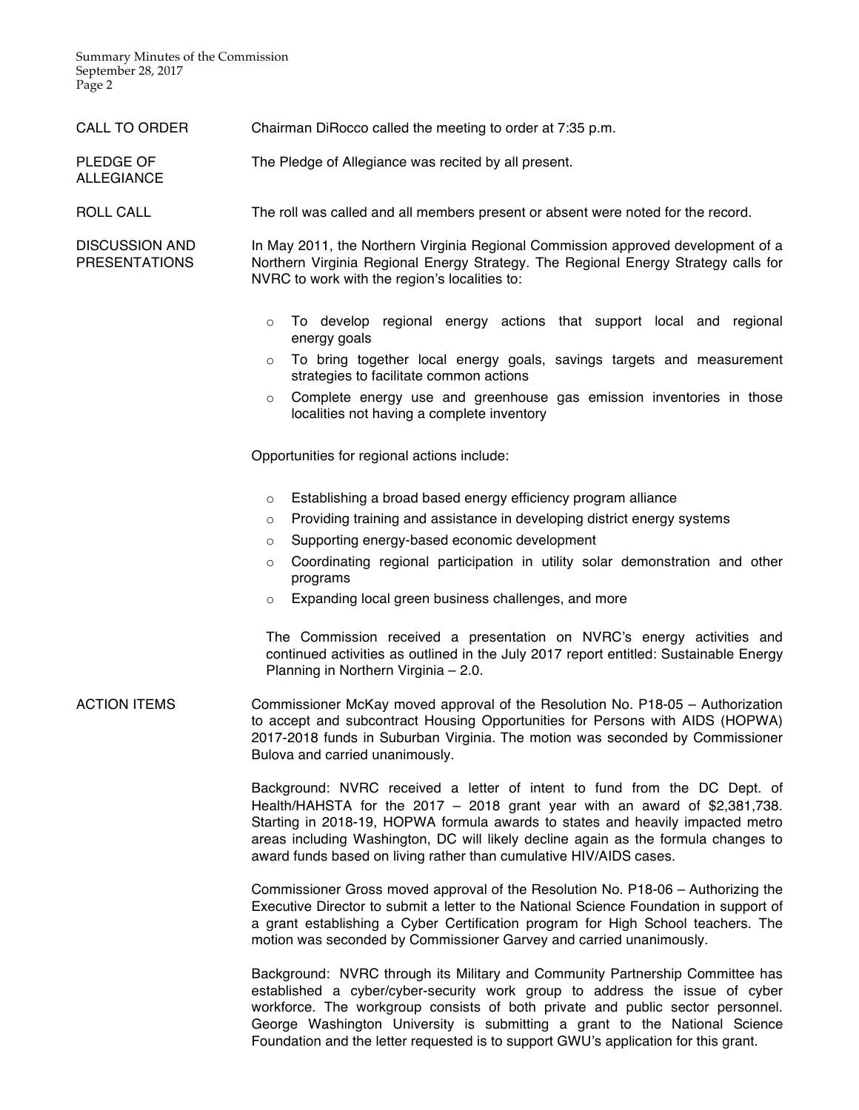Summary Minutes of the Commission September 28, 2017 Page 2

ALLEGIANCE

| CALL TO ORDER |  | Chairman DiRocco called the meeting to order at 7:35 p.m. |  |
|---------------|--|-----------------------------------------------------------|--|
|               |  |                                                           |  |

PLEDGE OF The Pledge of Allegiance was recited by all present.

ROLL CALL The roll was called and all members present or absent were noted for the record.

DISCUSSION AND PRESENTATIONS In May 2011, the Northern Virginia Regional Commission approved development of a Northern Virginia Regional Energy Strategy. The Regional Energy Strategy calls for NVRC to work with the region's localities to:

- $\circ$  To develop regional energy actions that support local and regional energy goals
- o To bring together local energy goals, savings targets and measurement strategies to facilitate common actions
- o Complete energy use and greenhouse gas emission inventories in those localities not having a complete inventory

Opportunities for regional actions include:

- o Establishing a broad based energy efficiency program alliance
- o Providing training and assistance in developing district energy systems
- o Supporting energy-based economic development
- o Coordinating regional participation in utility solar demonstration and other programs
- o Expanding local green business challenges, and more

The Commission received a presentation on NVRC's energy activities and continued activities as outlined in the July 2017 report entitled: Sustainable Energy Planning in Northern Virginia – 2.0.

ACTION ITEMS Commissioner McKay moved approval of the Resolution No. P18-05 – Authorization to accept and subcontract Housing Opportunities for Persons with AIDS (HOPWA) 2017-2018 funds in Suburban Virginia. The motion was seconded by Commissioner Bulova and carried unanimously.

> Background: NVRC received a letter of intent to fund from the DC Dept. of Health/HAHSTA for the 2017 – 2018 grant year with an award of \$2,381,738. Starting in 2018-19, HOPWA formula awards to states and heavily impacted metro areas including Washington, DC will likely decline again as the formula changes to award funds based on living rather than cumulative HIV/AIDS cases.

> Commissioner Gross moved approval of the Resolution No. P18-06 – Authorizing the Executive Director to submit a letter to the National Science Foundation in support of a grant establishing a Cyber Certification program for High School teachers. The motion was seconded by Commissioner Garvey and carried unanimously.

> Background: NVRC through its Military and Community Partnership Committee has established a cyber/cyber-security work group to address the issue of cyber workforce. The workgroup consists of both private and public sector personnel. George Washington University is submitting a grant to the National Science Foundation and the letter requested is to support GWU's application for this grant.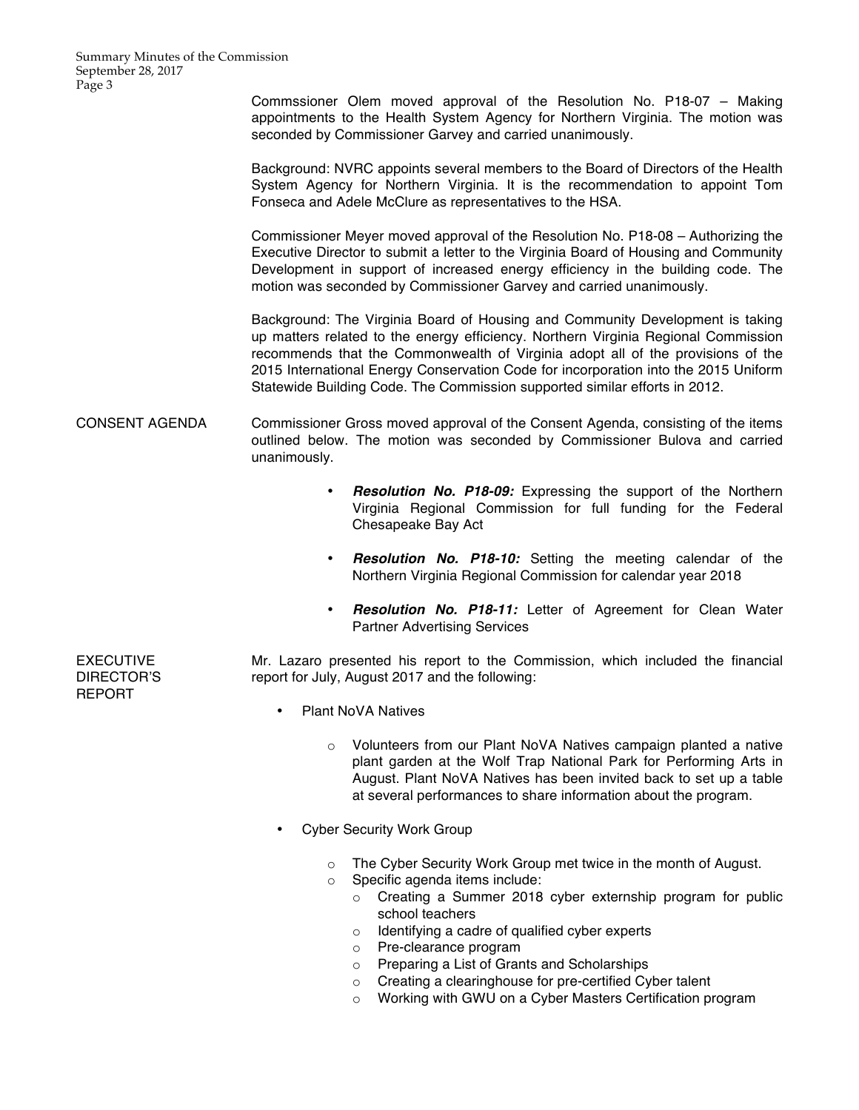Commssioner Olem moved approval of the Resolution No. P18-07 – Making appointments to the Health System Agency for Northern Virginia. The motion was seconded by Commissioner Garvey and carried unanimously.

Background: NVRC appoints several members to the Board of Directors of the Health System Agency for Northern Virginia. It is the recommendation to appoint Tom Fonseca and Adele McClure as representatives to the HSA.

Commissioner Meyer moved approval of the Resolution No. P18-08 – Authorizing the Executive Director to submit a letter to the Virginia Board of Housing and Community Development in support of increased energy efficiency in the building code. The motion was seconded by Commissioner Garvey and carried unanimously.

Background: The Virginia Board of Housing and Community Development is taking up matters related to the energy efficiency. Northern Virginia Regional Commission recommends that the Commonwealth of Virginia adopt all of the provisions of the 2015 International Energy Conservation Code for incorporation into the 2015 Uniform Statewide Building Code. The Commission supported similar efforts in 2012.

## CONSENT AGENDA Commissioner Gross moved approval of the Consent Agenda, consisting of the items outlined below. The motion was seconded by Commissioner Bulova and carried unanimously.

- *Resolution No. P18-09:* Expressing the support of the Northern Virginia Regional Commission for full funding for the Federal Chesapeake Bay Act
- *Resolution No. P18-10:* Setting the meeting calendar of the Northern Virginia Regional Commission for calendar year 2018
- *Resolution No. P18-11:* Letter of Agreement for Clean Water Partner Advertising Services

Mr. Lazaro presented his report to the Commission, which included the financial report for July, August 2017 and the following:

- Plant NoVA Natives
	- o Volunteers from our Plant NoVA Natives campaign planted a native plant garden at the Wolf Trap National Park for Performing Arts in August. Plant NoVA Natives has been invited back to set up a table at several performances to share information about the program.
- Cyber Security Work Group
	- o The Cyber Security Work Group met twice in the month of August.
	- o Specific agenda items include:
		- o Creating a Summer 2018 cyber externship program for public school teachers
		- o Identifying a cadre of qualified cyber experts
		- o Pre-clearance program
		- o Preparing a List of Grants and Scholarships
		- o Creating a clearinghouse for pre-certified Cyber talent
		- o Working with GWU on a Cyber Masters Certification program

EXECUTIVE DIRECTOR'S REPORT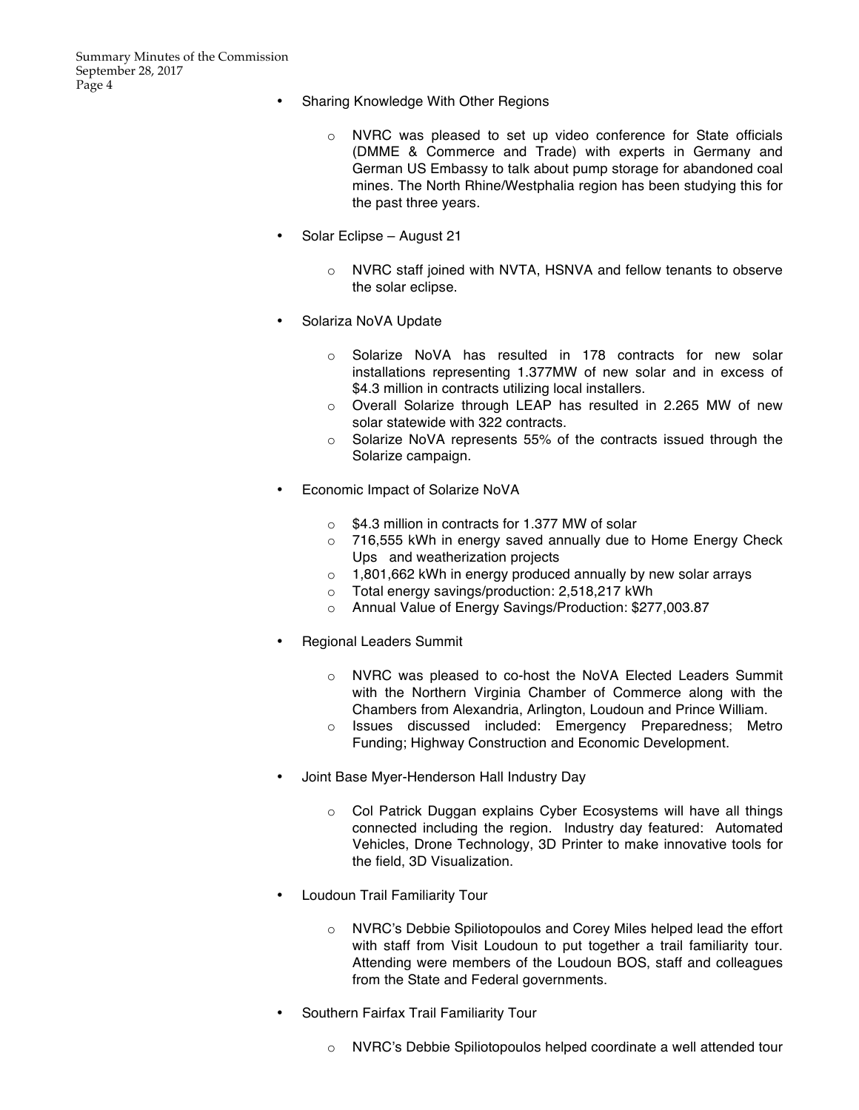- Sharing Knowledge With Other Regions
	- o NVRC was pleased to set up video conference for State officials (DMME & Commerce and Trade) with experts in Germany and German US Embassy to talk about pump storage for abandoned coal mines. The North Rhine/Westphalia region has been studying this for the past three years.
- Solar Eclipse August 21
	- o NVRC staff joined with NVTA, HSNVA and fellow tenants to observe the solar eclipse.
- Solariza NoVA Update
	- o Solarize NoVA has resulted in 178 contracts for new solar installations representing 1.377MW of new solar and in excess of \$4.3 million in contracts utilizing local installers.
	- o Overall Solarize through LEAP has resulted in 2.265 MW of new solar statewide with 322 contracts.
	- o Solarize NoVA represents 55% of the contracts issued through the Solarize campaign.
- Economic Impact of Solarize NoVA
	- o \$4.3 million in contracts for 1.377 MW of solar
	- o 716,555 kWh in energy saved annually due to Home Energy Check Ups and weatherization projects
	- $\circ$  1,801,662 kWh in energy produced annually by new solar arrays
	- o Total energy savings/production: 2,518,217 kWh
	- o Annual Value of Energy Savings/Production: \$277,003.87
- Regional Leaders Summit
	- o NVRC was pleased to co-host the NoVA Elected Leaders Summit with the Northern Virginia Chamber of Commerce along with the Chambers from Alexandria, Arlington, Loudoun and Prince William.
	- o Issues discussed included: Emergency Preparedness; Metro Funding; Highway Construction and Economic Development.
- Joint Base Myer-Henderson Hall Industry Day
	- o Col Patrick Duggan explains Cyber Ecosystems will have all things connected including the region. Industry day featured: Automated Vehicles, Drone Technology, 3D Printer to make innovative tools for the field, 3D Visualization.
- Loudoun Trail Familiarity Tour
	- o NVRC's Debbie Spiliotopoulos and Corey Miles helped lead the effort with staff from Visit Loudoun to put together a trail familiarity tour. Attending were members of the Loudoun BOS, staff and colleagues from the State and Federal governments.
- Southern Fairfax Trail Familiarity Tour
	- o NVRC's Debbie Spiliotopoulos helped coordinate a well attended tour